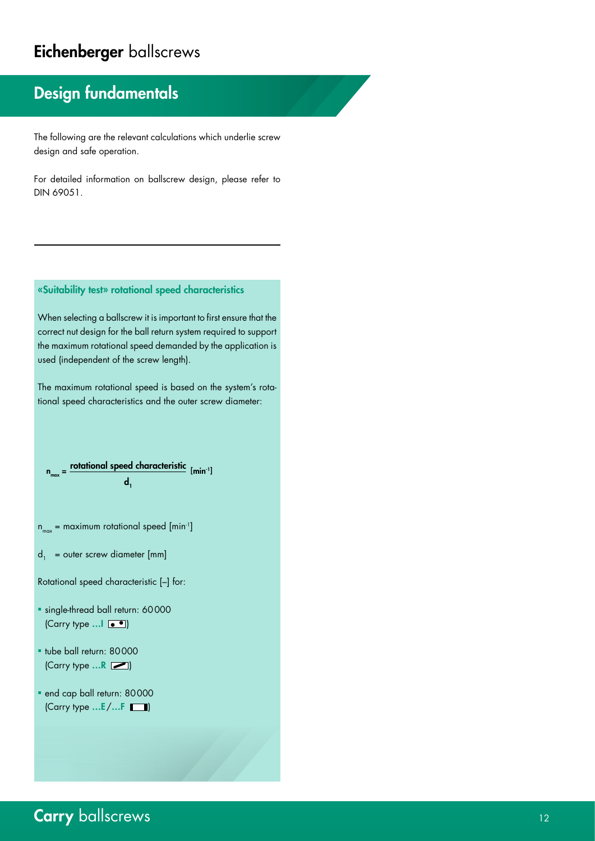### Design fundamentals

The following are the relevant calculations which underlie screw design and safe operation.

For detailed information on ballscrew design, please refer to DIN 69051.

«Suitability test» rotational speed characteristics

When selecting a ballscrew it is important to first ensure that the correct nut design for the ball return system required to support the maximum rotational speed demanded by the application is used (independent of the screw length).

The maximum rotational speed is based on the system's rotational speed characteristics and the outer screw diameter:

 $\mathsf{n}_{\mathsf{max}}^{}=\frac{\textbf{rotational speed characteristic}}{\textbf{min}^{\text{-}1}}$  $\mathsf{d},$ 

 $n_{max}$  = maximum rotational speed [min<sup>-1</sup>]

 $d_1$  = outer screw diameter [mm]

Rotational speed characteristic [–] for:

- **single-thread ball return: 60000**  $(Carry type ... I \t o)$
- ¡ tube ball return: 80000  $(Carry type ... R \n\Box)$
- ¡ end cap ball return: 80000  $(Carry type ... E/ ... F$

## **Carry** ballscrews **12** and 12 and 12 and 12 and 12 and 12 and 12 and 12 and 12 and 12 and 12 and 12 and 12 and 12 and 12 and 12 and 12 and 12 and 12 and 12 and 12 and 12 and 12 and 12 and 12 and 12 and 12 and 12 and 12 an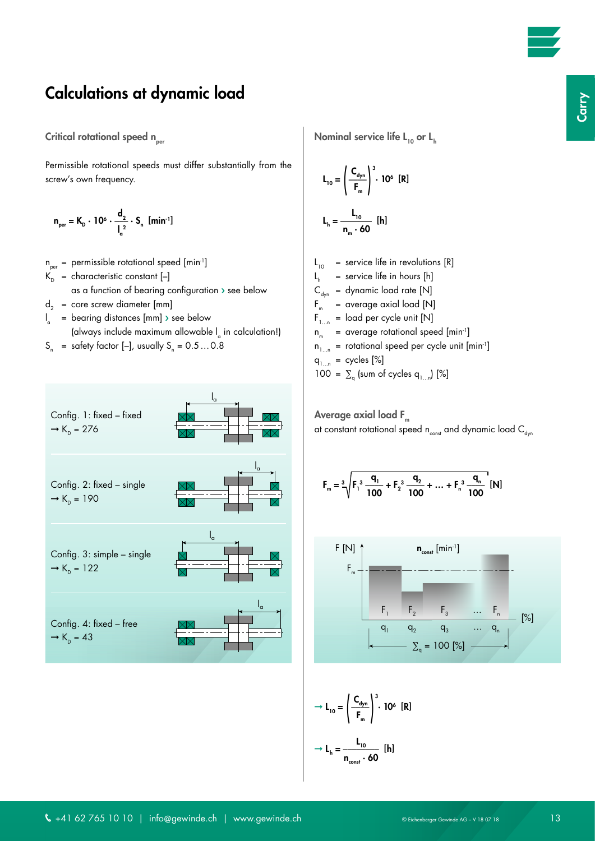

Critical rotational speed  $n_{per}$ 

Permissible rotational speeds must differ substantially from the screw's own frequency.

$$
\mathbf{n}_{\text{per}} = \mathbf{K}_{\text{D}} \cdot 10^6 \cdot \frac{\mathbf{d}_2}{I_a^2} \cdot \mathbf{S}_{\text{n}} \text{ [min-1]}
$$

- $n_{per}$  = permissible rotational speed [min<sup>-1</sup>]  $K_{p}$  = characteristic constant  $[-]$ as a function of bearing configuration > see below  $d_2$  = core screw diameter [mm]  $\mathbf{I}_n$  $=$  bearing distances [mm]  $\rightarrow$  see below
- (always include maximum allowable  $I_{a}$  in calculation!)
- $S_n$  = safety factor [–], usually  $S_n = 0.5 ... 0.8$



Nominal service life  $L_{10}$  or  $L_{h}$ 

$$
L_{10} = \left(\frac{C_{dyn}}{F_m}\right)^3 \cdot 10^6 \text{ [R]}
$$
  

$$
L_h = \frac{L_{10}}{n_m \cdot 60} \text{ [h]}
$$

 $L_{10}$  = service life in revolutions [R]  $L_h$  = service life in hours [h]

 $C_{\text{dyn}}$  = dynamic load rate [N]

 $F_m$  = average axial load [N]

- $F_{1}$  = load per cycle unit [N]
- $n_m$  = average rotational speed [min<sup>-1</sup>]
- $n_1$  = rotational speed per cycle unit [min<sup>-1</sup>]
- $q_{1...n}$  = cycles  $[\%]$
- 100 =  $\sum_{q}$  (sum of cycles  $q_{1...n}$ ) [%]

Average axial load  $F_m$ at constant rotational speed  $n_{\text{const}}$  and dynamic load  $C_{\text{dyn}}$ 

$$
F_m = \sqrt[3]{F_1^3 \frac{q_1}{100} + F_2^3 \frac{q_2}{100} + \dots + F_n^3 \frac{q_n}{100}} [N]
$$



$$
\rightarrow L_{10} = \left(\frac{C_{dyn}}{F_m}\right)^3 \cdot 10^6 \text{ [R]}
$$

$$
\rightarrow L_h = \frac{L_{10}}{n_{const} \cdot 60} \text{ [h]}
$$

Carry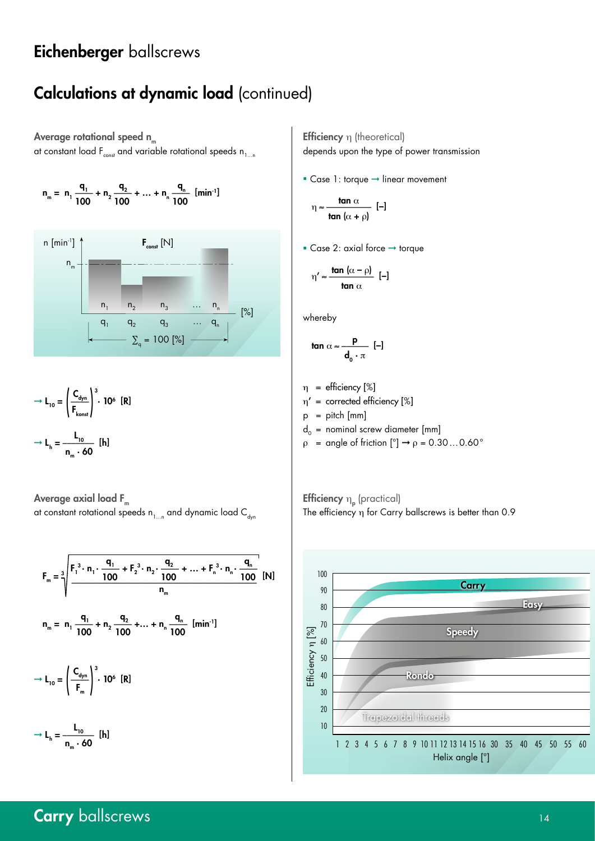### Eichenberger ballscrews

#### Calculations at dynamic load (continued)

Average rotational speed  $n_m$ at constant load  $F_{\text{const}}$  and variable rotational speeds  $n_1$ 

$$
n_m = n_1 \frac{q_1}{100} + n_2 \frac{q_2}{100} + \dots + n_n \frac{q_n}{100} [min^{-1}]
$$



$$
\rightarrow L_{10} = \left(\frac{C_{dyn}}{F_{k_{onst}}}\right)^3 \cdot 10^6 \text{ [R]}
$$

$$
\rightarrow L_h = \frac{L_{10}}{n_m \cdot 60} \text{ [h]}
$$

Average axial load  $F_m$ at constant rotational speeds  $n_{1...n}$  and dynamic load  $C_{dyn}$ 

$$
F_{m} = \sqrt[3]{\frac{F_{1}^{3} \cdot n_{1} \cdot \frac{q_{1}}{100} + F_{2}^{3} \cdot n_{2} \cdot \frac{q_{2}}{100} + \dots + F_{n}^{3} \cdot n_{n} \cdot \frac{q_{n}}{100}}{n_{m}}}
$$
\n
$$
n_{m} = n_{1} \frac{q_{1}}{100} + n_{2} \frac{q_{2}}{100} + \dots + n_{n} \frac{q_{n}}{100} \text{ [min}^{1}]
$$
\n
$$
\rightarrow L_{10} = \left(\frac{C_{dyn}}{F_{m}}\right)^{3} \cdot 10^{6} \text{ [R]}
$$
\n
$$
\rightarrow L_{h} = \frac{L_{10}}{n_{m} \cdot 60} \text{ [h]}
$$

Efficiency η (theoretical) depends upon the type of power transmission

■ Case 1: torque → linear movement

$$
\eta \approx \frac{\tan \alpha}{\tan (\alpha + \rho)} [-]
$$

 $\blacksquare$  Case 2: axial force  $\rightarrow$  torque

$$
\eta' \approx \frac{\tan\left(\alpha - \rho\right)}{\tan\alpha} \left[-\right]
$$

whereby

$$
\text{tan }\alpha \approx \frac{\text{p}}{\text{d}_\text{0} \cdot \pi} \ \left[ - \right]
$$

$$
\eta = \text{efficiency} \, [\%]
$$

η' = corrected efficiency [%]

 $p = pitch [mm]$ 

 $d_0$  = nominal screw diameter [mm]

 $\rho$  = angle of friction  $[°] \rightarrow \rho = 0.30...0.60°$ 

**Efficiency**  $\eta_{p}$  (practical) The efficiency η for Carry ballscrews is better than 0.9



#### Carry ballscrews